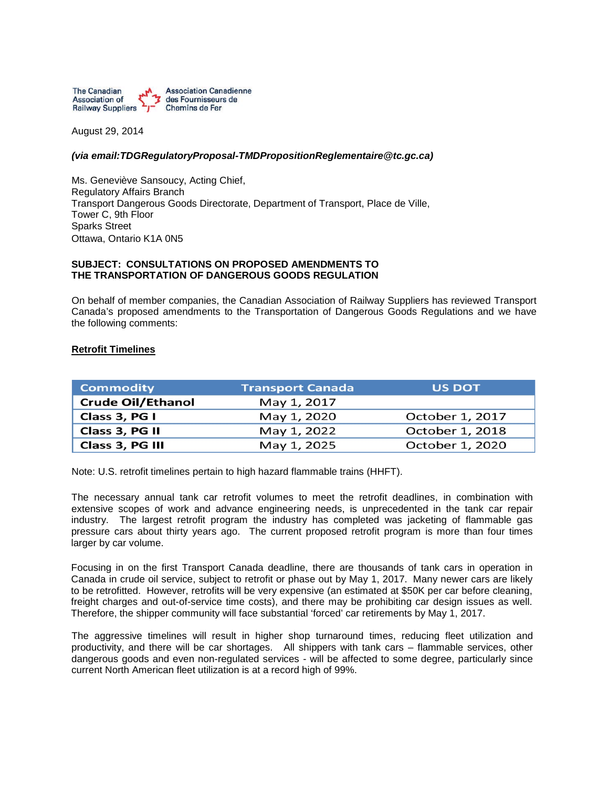

August 29, 2014

## *(via [email:TDGRegulatoryProposal-TMDPropositionReglementaire@tc.gc.ca\)](mailto:TDGRegulatoryProposal-TMDPropositionReglementaire@tc.gc.ca)*

Ms. Geneviève Sansoucy, Acting Chief, Regulatory Affairs Branch Transport Dangerous Goods Directorate, Department of Transport, Place de Ville, Tower C, 9th Floor Sparks Street Ottawa, Ontario K1A 0N5

#### **SUBJECT: CONSULTATIONS ON PROPOSED AMENDMENTS TO THE TRANSPORTATION OF DANGEROUS GOODS REGULATION**

On behalf of member companies, the Canadian Association of Railway Suppliers has reviewed Transport Canada's proposed amendments to the Transportation of Dangerous Goods Regulations and we have the following comments:

## **Retrofit Timelines**

| <b>Commodity</b>         | <b>Transport Canada</b> | <b>US DOT</b>   |
|--------------------------|-------------------------|-----------------|
| <b>Crude Oil/Ethanol</b> | May 1, 2017             |                 |
| Class 3, PG I            | May 1, 2020             | October 1, 2017 |
| Class 3, PG II           | May 1, 2022             | October 1, 2018 |
| Class 3, PG III          | May 1, 2025             | October 1, 2020 |

Note: U.S. retrofit timelines pertain to high hazard flammable trains (HHFT).

The necessary annual tank car retrofit volumes to meet the retrofit deadlines, in combination with extensive scopes of work and advance engineering needs, is unprecedented in the tank car repair industry. The largest retrofit program the industry has completed was jacketing of flammable gas pressure cars about thirty years ago. The current proposed retrofit program is more than four times larger by car volume.

Focusing in on the first Transport Canada deadline, there are thousands of tank cars in operation in Canada in crude oil service, subject to retrofit or phase out by May 1, 2017. Many newer cars are likely to be retrofitted. However, retrofits will be very expensive (an estimated at \$50K per car before cleaning, freight charges and out-of-service time costs), and there may be prohibiting car design issues as well. Therefore, the shipper community will face substantial 'forced' car retirements by May 1, 2017.

The aggressive timelines will result in higher shop turnaround times, reducing fleet utilization and productivity, and there will be car shortages. All shippers with tank cars – flammable services, other dangerous goods and even non-regulated services - will be affected to some degree, particularly since current North American fleet utilization is at a record high of 99%.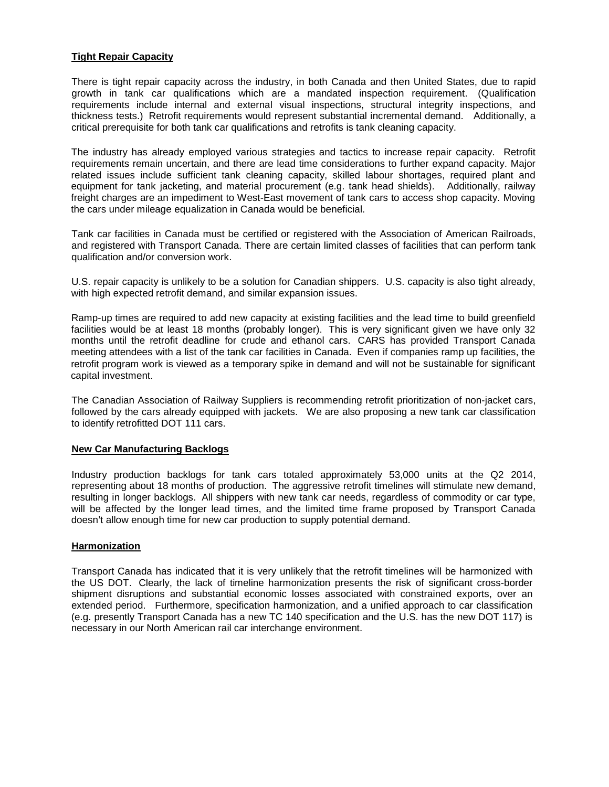# **Tight Repair Capacity**

There is tight repair capacity across the industry, in both Canada and then United States, due to rapid growth in tank car qualifications which are a mandated inspection requirement. (Qualification requirements include internal and external visual inspections, structural integrity inspections, and thickness tests.) Retrofit requirements would represent substantial incremental demand. Additionally, a critical prerequisite for both tank car qualifications and retrofits is tank cleaning capacity.

The industry has already employed various strategies and tactics to increase repair capacity. Retrofit requirements remain uncertain, and there are lead time considerations to further expand capacity. Major related issues include sufficient tank cleaning capacity, skilled labour shortages, required plant and equipment for tank jacketing, and material procurement (e.g. tank head shields). Additionally, railway freight charges are an impediment to West-East movement of tank cars to access shop capacity. Moving the cars under mileage equalization in Canada would be beneficial.

Tank car facilities in Canada must be certified or registered with the Association of American Railroads, and registered with Transport Canada. There are certain limited classes of facilities that can perform tank qualification and/or conversion work.

U.S. repair capacity is unlikely to be a solution for Canadian shippers. U.S. capacity is also tight already, with high expected retrofit demand, and similar expansion issues.

Ramp-up times are required to add new capacity at existing facilities and the lead time to build greenfield facilities would be at least 18 months (probably longer). This is very significant given we have only 32 months until the retrofit deadline for crude and ethanol cars. CARS has provided Transport Canada meeting attendees with a list of the tank car facilities in Canada. Even if companies ramp up facilities, the retrofit program work is viewed as a temporary spike in demand and will not be sustainable for significant capital investment.

The Canadian Association of Railway Suppliers is recommending retrofit prioritization of non-jacket cars, followed by the cars already equipped with jackets. We are also proposing a new tank car classification to identify retrofitted DOT 111 cars.

## **New Car Manufacturing Backlogs**

Industry production backlogs for tank cars totaled approximately 53,000 units at the Q2 2014, representing about 18 months of production. The aggressive retrofit timelines will stimulate new demand, resulting in longer backlogs. All shippers with new tank car needs, regardless of commodity or car type, will be affected by the longer lead times, and the limited time frame proposed by Transport Canada doesn't allow enough time for new car production to supply potential demand.

## **Harmonization**

Transport Canada has indicated that it is very unlikely that the retrofit timelines will be harmonized with the US DOT. Clearly, the lack of timeline harmonization presents the risk of significant cross-border shipment disruptions and substantial economic losses associated with constrained exports, over an extended period. Furthermore, specification harmonization, and a unified approach to car classification (e.g. presently Transport Canada has a new TC 140 specification and the U.S. has the new DOT 117) is necessary in our North American rail car interchange environment.